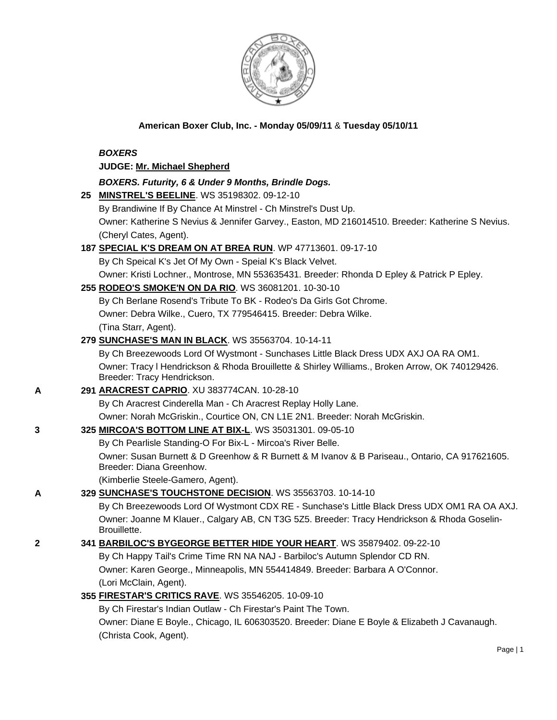

# **American Boxer Club, Inc. - Monday 05/09/11** & **Tuesday 05/10/11**

# *BOXERS*

**JUDGE: [Mr. Michael Shepherd](http://www.infodog.com/judges/8280/juddat.htm)**

|   |    | BOXERS. Futurity, 6 & Under 9 Months, Brindle Dogs.                                                                        |
|---|----|----------------------------------------------------------------------------------------------------------------------------|
|   | 25 | <b>MINSTREL'S BEELINE.</b> WS 35198302. 09-12-10                                                                           |
|   |    | By Brandiwine If By Chance At Minstrel - Ch Minstrel's Dust Up.                                                            |
|   |    | Owner: Katherine S Nevius & Jennifer Garvey., Easton, MD 216014510. Breeder: Katherine S Nevius.                           |
|   |    | (Cheryl Cates, Agent).                                                                                                     |
|   |    | 187 SPECIAL K'S DREAM ON AT BREA RUN. WP 47713601. 09-17-10                                                                |
|   |    | By Ch Speical K's Jet Of My Own - Speial K's Black Velvet.                                                                 |
|   |    | Owner: Kristi Lochner., Montrose, MN 553635431. Breeder: Rhonda D Epley & Patrick P Epley.                                 |
|   |    | 255 RODEO'S SMOKE'N ON DA RIO. WS 36081201. 10-30-10                                                                       |
|   |    | By Ch Berlane Rosend's Tribute To BK - Rodeo's Da Girls Got Chrome.                                                        |
|   |    | Owner: Debra Wilke., Cuero, TX 779546415. Breeder: Debra Wilke.                                                            |
|   |    | (Tina Starr, Agent).                                                                                                       |
|   |    | 279 SUNCHASE'S MAN IN BLACK. WS 35563704. 10-14-11                                                                         |
|   |    | By Ch Breezewoods Lord Of Wystmont - Sunchases Little Black Dress UDX AXJ OA RA OM1.                                       |
|   |    | Owner: Tracy I Hendrickson & Rhoda Brouillette & Shirley Williams., Broken Arrow, OK 740129426.                            |
|   |    | Breeder: Tracy Hendrickson.                                                                                                |
| А |    | 291 ARACREST CAPRIO. XU 383774CAN. 10-28-10                                                                                |
|   |    | By Ch Aracrest Cinderella Man - Ch Aracrest Replay Holly Lane.                                                             |
|   |    | Owner: Norah McGriskin., Courtice ON, CN L1E 2N1. Breeder: Norah McGriskin.                                                |
| 3 |    | 325 MIRCOA'S BOTTOM LINE AT BIX-L. WS 35031301. 09-05-10                                                                   |
|   |    | By Ch Pearlisle Standing-O For Bix-L - Mircoa's River Belle.                                                               |
|   |    | Owner: Susan Burnett & D Greenhow & R Burnett & M Ivanov & B Pariseau., Ontario, CA 917621605.<br>Breeder: Diana Greenhow. |
|   |    | (Kimberlie Steele-Gamero, Agent).                                                                                          |
| A |    | 329 SUNCHASE'S TOUCHSTONE DECISION. WS 35563703. 10-14-10                                                                  |
|   |    | By Ch Breezewoods Lord Of Wystmont CDX RE - Sunchase's Little Black Dress UDX OM1 RA OA AXJ.                               |
|   |    | Owner: Joanne M Klauer., Calgary AB, CN T3G 5Z5. Breeder: Tracy Hendrickson & Rhoda Goselin-<br>Brouillette.               |
| 2 |    | 341 BARBILOC'S BYGEORGE BETTER HIDE YOUR HEART. WS 35879402. 09-22-10                                                      |
|   |    | By Ch Happy Tail's Crime Time RN NA NAJ - Barbiloc's Autumn Splendor CD RN.                                                |
|   |    | Owner: Karen George., Minneapolis, MN 554414849. Breeder: Barbara A O'Connor.                                              |
|   |    | (Lori McClain, Agent).                                                                                                     |
|   |    | 355 FIRESTAR'S CRITICS RAVE. WS 35546205. 10-09-10                                                                         |
|   |    | By Ch Firestar's Indian Outlaw - Ch Firestar's Paint The Town.                                                             |
|   |    | Owner: Diane E Boyle., Chicago, IL 606303520. Breeder: Diane E Boyle & Elizabeth J Cavanaugh.                              |
|   |    | (Christa Cook, Agent).                                                                                                     |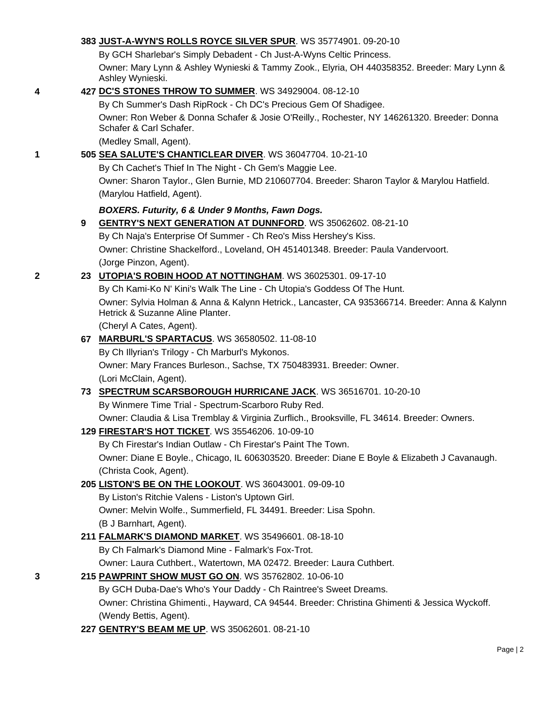|   |   | 383 JUST-A-WYN'S ROLLS ROYCE SILVER SPUR. WS 35774901. 09-20-10                                                                    |
|---|---|------------------------------------------------------------------------------------------------------------------------------------|
|   |   | By GCH Sharlebar's Simply Debadent - Ch Just-A-Wyns Celtic Princess.                                                               |
|   |   | Owner: Mary Lynn & Ashley Wynieski & Tammy Zook., Elyria, OH 440358352. Breeder: Mary Lynn &<br>Ashley Wynieski.                   |
| 4 |   | 427 DC'S STONES THROW TO SUMMER. WS 34929004. 08-12-10                                                                             |
|   |   | By Ch Summer's Dash RipRock - Ch DC's Precious Gem Of Shadigee.                                                                    |
|   |   | Owner: Ron Weber & Donna Schafer & Josie O'Reilly., Rochester, NY 146261320. Breeder: Donna<br>Schafer & Carl Schafer.             |
|   |   | (Medley Small, Agent).                                                                                                             |
| 1 |   | 505 SEA SALUTE'S CHANTICLEAR DIVER. WS 36047704. 10-21-10                                                                          |
|   |   | By Ch Cachet's Thief In The Night - Ch Gem's Maggie Lee.                                                                           |
|   |   | Owner: Sharon Taylor., Glen Burnie, MD 210607704. Breeder: Sharon Taylor & Marylou Hatfield.                                       |
|   |   | (Marylou Hatfield, Agent).                                                                                                         |
|   |   | BOXERS. Futurity, 6 & Under 9 Months, Fawn Dogs.                                                                                   |
|   | 9 | GENTRY'S NEXT GENERATION AT DUNNFORD. WS 35062602. 08-21-10                                                                        |
|   |   | By Ch Naja's Enterprise Of Summer - Ch Reo's Miss Hershey's Kiss.                                                                  |
|   |   | Owner: Christine Shackelford., Loveland, OH 451401348. Breeder: Paula Vandervoort.                                                 |
|   |   | (Jorge Pinzon, Agent).                                                                                                             |
| 2 |   | 23 UTOPIA'S ROBIN HOOD AT NOTTINGHAM. WS 36025301. 09-17-10                                                                        |
|   |   | By Ch Kami-Ko N' Kini's Walk The Line - Ch Utopia's Goddess Of The Hunt.                                                           |
|   |   | Owner: Sylvia Holman & Anna & Kalynn Hetrick., Lancaster, CA 935366714. Breeder: Anna & Kalynn<br>Hetrick & Suzanne Aline Planter. |
|   |   | (Cheryl A Cates, Agent).                                                                                                           |
|   |   | 67 MARBURL'S SPARTACUS. WS 36580502. 11-08-10                                                                                      |
|   |   | By Ch Illyrian's Trilogy - Ch Marburl's Mykonos.                                                                                   |
|   |   | Owner: Mary Frances Burleson., Sachse, TX 750483931. Breeder: Owner.                                                               |
|   |   | (Lori McClain, Agent).                                                                                                             |
|   |   | 73 SPECTRUM SCARSBOROUGH HURRICANE JACK. WS 36516701. 10-20-10                                                                     |
|   |   | By Winmere Time Trial - Spectrum-Scarboro Ruby Red.                                                                                |
|   |   | Owner: Claudia & Lisa Tremblay & Virginia Zurflich., Brooksville, FL 34614. Breeder: Owners.                                       |
|   |   | 129 FIRESTAR'S HOT TICKET. WS 35546206. 10-09-10                                                                                   |
|   |   | By Ch Firestar's Indian Outlaw - Ch Firestar's Paint The Town.                                                                     |
|   |   | Owner: Diane E Boyle., Chicago, IL 606303520. Breeder: Diane E Boyle & Elizabeth J Cavanaugh.                                      |
|   |   | (Christa Cook, Agent).                                                                                                             |
|   |   | 205 LISTON'S BE ON THE LOOKOUT. WS 36043001. 09-09-10                                                                              |
|   |   | By Liston's Ritchie Valens - Liston's Uptown Girl.                                                                                 |
|   |   | Owner: Melvin Wolfe., Summerfield, FL 34491. Breeder: Lisa Spohn.                                                                  |
|   |   | (B J Barnhart, Agent).                                                                                                             |
|   |   | 211 FALMARK'S DIAMOND MARKET. WS 35496601. 08-18-10                                                                                |
|   |   | By Ch Falmark's Diamond Mine - Falmark's Fox-Trot.                                                                                 |
|   |   | Owner: Laura Cuthbert., Watertown, MA 02472. Breeder: Laura Cuthbert.                                                              |
| 3 |   | 215 PAWPRINT SHOW MUST GO ON. WS 35762802. 10-06-10                                                                                |
|   |   | By GCH Duba-Dae's Who's Your Daddy - Ch Raintree's Sweet Dreams.                                                                   |
|   |   | Owner: Christina Ghimenti., Hayward, CA 94544. Breeder: Christina Ghimenti & Jessica Wyckoff.                                      |
|   |   | (Wendy Bettis, Agent).                                                                                                             |
|   |   | 227 GENTRY'S BEAM ME UP. WS 35062601. 08-21-10                                                                                     |
|   |   |                                                                                                                                    |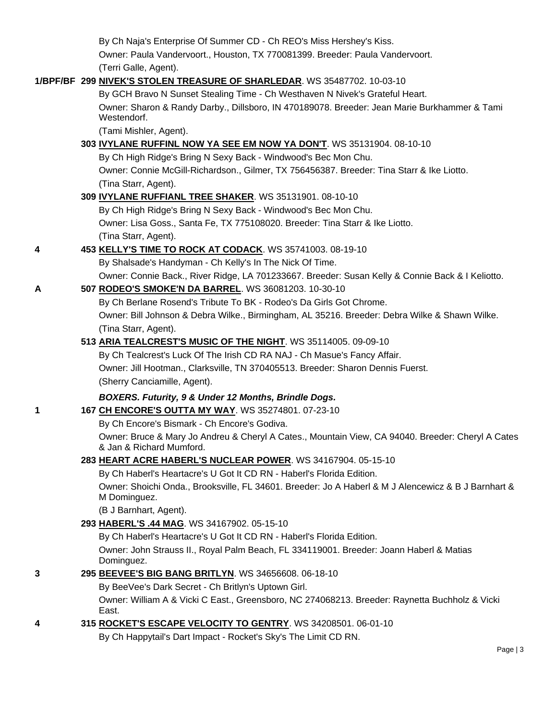|   | By Ch Naja's Enterprise Of Summer CD - Ch REO's Miss Hershey's Kiss.                                                                                        |
|---|-------------------------------------------------------------------------------------------------------------------------------------------------------------|
|   | Owner: Paula Vandervoort., Houston, TX 770081399. Breeder: Paula Vandervoort.                                                                               |
|   | (Terri Galle, Agent).                                                                                                                                       |
|   | 1 <b>/BPF/BF_299 <u>NIVEK'S STOLEN TREASURE OF SHARLEDAR</u>. WS 35487702. 10-03-10</b>                                                                     |
|   | By GCH Bravo N Sunset Stealing Time - Ch Westhaven N Nivek's Grateful Heart.                                                                                |
|   | Owner: Sharon & Randy Darby., Dillsboro, IN 470189078. Breeder: Jean Marie Burkhammer & Tami<br>Westendorf.                                                 |
|   | (Tami Mishler, Agent).                                                                                                                                      |
|   | 303 IVYLANE RUFFINL NOW YA SEE EM NOW YA DON'T. WS 35131904. 08-10-10                                                                                       |
|   | By Ch High Ridge's Bring N Sexy Back - Windwood's Bec Mon Chu.                                                                                              |
|   | Owner: Connie McGill-Richardson., Gilmer, TX 756456387. Breeder: Tina Starr & Ike Liotto.                                                                   |
|   | (Tina Starr, Agent).                                                                                                                                        |
|   | 309 IVYLANE RUFFIANL TREE SHAKER. WS 35131901. 08-10-10                                                                                                     |
|   | By Ch High Ridge's Bring N Sexy Back - Windwood's Bec Mon Chu.                                                                                              |
|   | Owner: Lisa Goss., Santa Fe, TX 775108020. Breeder: Tina Starr & Ike Liotto.                                                                                |
|   | (Tina Starr, Agent).                                                                                                                                        |
| 4 | 453 KELLY'S TIME TO ROCK AT CODACK. WS 35741003. 08-19-10                                                                                                   |
|   | By Shalsade's Handyman - Ch Kelly's In The Nick Of Time.                                                                                                    |
|   | Owner: Connie Back., River Ridge, LA 701233667. Breeder: Susan Kelly & Connie Back & I Keliotto.                                                            |
| A | 507 RODEO'S SMOKE'N DA BARREL. WS 36081203. 10-30-10                                                                                                        |
|   | By Ch Berlane Rosend's Tribute To BK - Rodeo's Da Girls Got Chrome.                                                                                         |
|   | Owner: Bill Johnson & Debra Wilke., Birmingham, AL 35216. Breeder: Debra Wilke & Shawn Wilke.                                                               |
|   | (Tina Starr, Agent).                                                                                                                                        |
|   | 513 ARIA TEALCREST'S MUSIC OF THE NIGHT. WS 35114005. 09-09-10                                                                                              |
|   | By Ch Tealcrest's Luck Of The Irish CD RA NAJ - Ch Masue's Fancy Affair.<br>Owner: Jill Hootman., Clarksville, TN 370405513. Breeder: Sharon Dennis Fuerst. |
|   | (Sherry Canciamille, Agent).                                                                                                                                |
|   |                                                                                                                                                             |
|   | BOXERS. Futurity, 9 & Under 12 Months, Brindle Dogs.                                                                                                        |
| 1 | 167 CH ENCORE'S OUTTA MY WAY. WS 35274801. 07-23-10                                                                                                         |
|   | By Ch Encore's Bismark - Ch Encore's Godiva.                                                                                                                |
|   | Owner: Bruce & Mary Jo Andreu & Cheryl A Cates., Mountain View, CA 94040. Breeder: Cheryl A Cates<br>& Jan & Richard Mumford.                               |
|   | 283 HEART ACRE HABERL'S NUCLEAR POWER. WS 34167904. 05-15-10                                                                                                |
|   | By Ch Haberl's Heartacre's U Got It CD RN - Haberl's Florida Edition.                                                                                       |
|   | Owner: Shoichi Onda., Brooksville, FL 34601. Breeder: Jo A Haberl & M J Alencewicz & B J Barnhart &<br>M Dominguez.                                         |
|   | (B J Barnhart, Agent).                                                                                                                                      |
|   | 293 HABERL'S .44 MAG. WS 34167902. 05-15-10                                                                                                                 |
|   | By Ch Haberl's Heartacre's U Got It CD RN - Haberl's Florida Edition.                                                                                       |
|   | Owner: John Strauss II., Royal Palm Beach, FL 334119001. Breeder: Joann Haberl & Matias<br>Dominguez.                                                       |
| 3 | 295 BEEVEE'S BIG BANG BRITLYN. WS 34656608. 06-18-10                                                                                                        |
|   | By BeeVee's Dark Secret - Ch Britlyn's Uptown Girl.                                                                                                         |
|   | Owner: William A & Vicki C East., Greensboro, NC 274068213. Breeder: Raynetta Buchholz & Vicki<br>East.                                                     |
| 4 | 315 ROCKET'S ESCAPE VELOCITY TO GENTRY. WS 34208501. 06-01-10                                                                                               |
|   | By Ch Happytail's Dart Impact - Rocket's Sky's The Limit CD RN.                                                                                             |
|   | Page Li                                                                                                                                                     |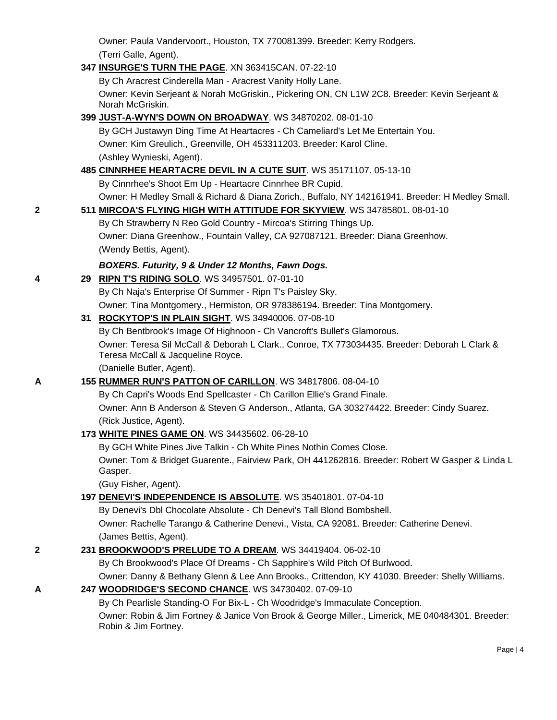Owner: Paula Vandervoort., Houston, TX 770081399. Breeder: Kerry Rodgers. (Terri Galle, Agent). **347 [INSURGE'S TURN THE PAGE](http://canis.infodog.com/files/bdogrsl1.prg;makc=XN_363415CAN;mdog=Insurge_s_Turn_The_Page;wins=all)**. XN 363415CAN. 07-22-10 By Ch Aracrest Cinderella Man - Aracrest Vanity Holly Lane. Owner: Kevin Serjeant & Norah McGriskin., Pickering ON, CN L1W 2C8. Breeder: Kevin Serjeant & Norah McGriskin. **399 [JUST-A-WYN'S DOWN ON BROADWAY](http://canis.infodog.com/files/bdogrsl1.prg;makc=WS_34870202;mdog=Just-A-Wyn_s_Down_On_Broadway;wins=all)**. WS 34870202. 08-01-10 By GCH Justawyn Ding Time At Heartacres - Ch Cameliard's Let Me Entertain You. Owner: Kim Greulich., Greenville, OH 453311203. Breeder: Karol Cline. (Ashley Wynieski, Agent). **485 [CINNRHEE HEARTACRE DEVIL IN A CUTE SUIT](http://canis.infodog.com/files/bdogrsl1.prg;makc=WS_35171107;mdog=Cinnrhee_Heartacre_Devil_In_A_Cute_Suit;wins=all)**. WS 35171107. 05-13-10 By Cinnrhee's Shoot Em Up - Heartacre Cinnrhee BR Cupid. Owner: H Medley Small & Richard & Diana Zorich., Buffalo, NY 142161941. Breeder: H Medley Small. **2 511 [MIRCOA'S FLYING HIGH WITH ATTITUDE FOR SKYVIEW](http://canis.infodog.com/files/bdogrsl1.prg;makc=WS_34785801;mdog=Mircoa_s_Flying_High_With_Attitude_For_Skyview;wins=all)**. WS 34785801. 08-01-10 By Ch Strawberry N Reo Gold Country - Mircoa's Stirring Things Up. Owner: Diana Greenhow., Fountain Valley, CA 927087121. Breeder: Diana Greenhow. (Wendy Bettis, Agent). *BOXERS. Futurity, 9 & Under 12 Months, Fawn Dogs.* **4 29 [RIPN T'S RIDING SOLO](http://canis.infodog.com/files/bdogrsl1.prg;makc=WS_34957501;mdog=Ripn_T_s_Riding_Solo;wins=all)**. WS 34957501. 07-01-10 By Ch Naja's Enterprise Of Summer - Ripn T's Paisley Sky. Owner: Tina Montgomery., Hermiston, OR 978386194. Breeder: Tina Montgomery. **31 [ROCKYTOP'S IN PLAIN SIGHT](http://canis.infodog.com/files/bdogrsl1.prg;makc=WS_34940006;mdog=Rockytop_s_In_Plain_Sight;wins=all)**. WS 34940006. 07-08-10 By Ch Bentbrook's Image Of Highnoon - Ch Vancroft's Bullet's Glamorous. Owner: Teresa Sil McCall & Deborah L Clark., Conroe, TX 773034435. Breeder: Deborah L Clark & Teresa McCall & Jacqueline Royce. (Danielle Butler, Agent). **A 155 [RUMMER RUN'S PATTON OF CARILLON](http://canis.infodog.com/files/bdogrsl1.prg;makc=WS_34817806;mdog=Rummer_Run_s_Patton_Of_Carillon;wins=all)**. WS 34817806. 08-04-10 By Ch Capri's Woods End Spellcaster - Ch Carillon Ellie's Grand Finale. Owner: Ann B Anderson & Steven G Anderson., Atlanta, GA 303274422. Breeder: Cindy Suarez. (Rick Justice, Agent). **173 [WHITE PINES GAME ON](http://canis.infodog.com/files/bdogrsl1.prg;makc=WS_34435602;mdog=White_Pines_Game_On;wins=all)**. WS 34435602. 06-28-10 By GCH White Pines Jive Talkin - Ch White Pines Nothin Comes Close. Owner: Tom & Bridget Guarente., Fairview Park, OH 441262816. Breeder: Robert W Gasper & Linda L Gasper. (Guy Fisher, Agent). **197 [DENEVI'S INDEPENDENCE IS ABSOLUTE](http://canis.infodog.com/files/bdogrsl1.prg;makc=WS_35401801;mdog=Denevi_s_Independence_Is_Absolute;wins=all)**. WS 35401801. 07-04-10 By Denevi's Dbl Chocolate Absolute - Ch Denevi's Tall Blond Bombshell. Owner: Rachelle Tarango & Catherine Denevi., Vista, CA 92081. Breeder: Catherine Denevi. (James Bettis, Agent). **2 231 [BROOKWOOD'S PRELUDE TO A DREAM](http://canis.infodog.com/files/bdogrsl1.prg;makc=WS_34419404;mdog=Brookwood_s_Prelude_To_A_Dream;wins=all)**. WS 34419404. 06-02-10 By Ch Brookwood's Place Of Dreams - Ch Sapphire's Wild Pitch Of Burlwood. Owner: Danny & Bethany Glenn & Lee Ann Brooks., Crittendon, KY 41030. Breeder: Shelly Williams. **A 247 [WOODRIDGE'S SECOND CHANCE](http://canis.infodog.com/files/bdogrsl1.prg;makc=WS_34730402;mdog=Woodridge_s_Second_Chance;wins=all)**. WS 34730402. 07-09-10 By Ch Pearlisle Standing-O For Bix-L - Ch Woodridge's Immaculate Conception. Owner: Robin & Jim Fortney & Janice Von Brook & George Miller., Limerick, ME 040484301. Breeder: Robin & Jim Fortney.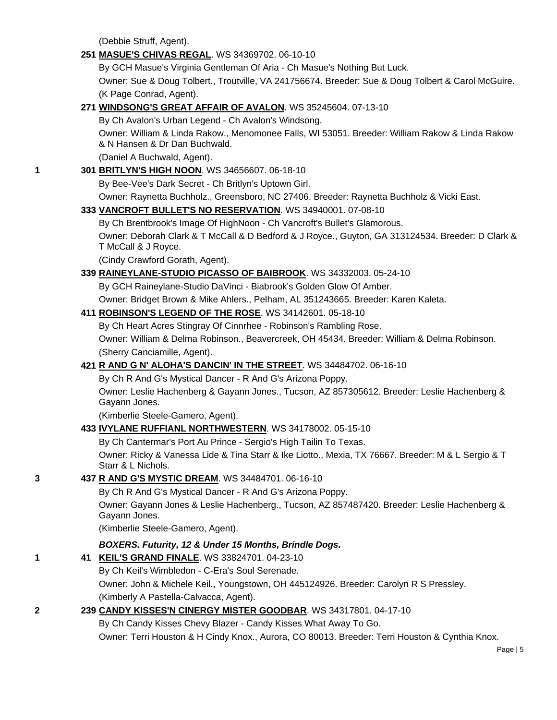(Debbie Struff, Agent).

# **251 [MASUE'S CHIVAS REGAL](http://canis.infodog.com/files/bdogrsl1.prg;makc=WS_34369702;mdog=Masue_s_Chivas_Regal;wins=all)**. WS 34369702. 06-10-10 By GCH Masue's Virginia Gentleman Of Aria - Ch Masue's Nothing But Luck. Owner: Sue & Doug Tolbert., Troutville, VA 241756674. Breeder: Sue & Doug Tolbert & Carol McGuire. (K Page Conrad, Agent). **271 [WINDSONG'S GREAT AFFAIR OF AVALON](http://canis.infodog.com/files/bdogrsl1.prg;makc=WS_35245604;mdog=Windsong_s_Great_Affair_Of_Avalon;wins=all)**. WS 35245604. 07-13-10 By Ch Avalon's Urban Legend - Ch Avalon's Windsong. Owner: William & Linda Rakow., Menomonee Falls, WI 53051. Breeder: William Rakow & Linda Rakow & N Hansen & Dr Dan Buchwald. (Daniel A Buchwald, Agent). **1 301 [BRITLYN'S HIGH NOON](http://canis.infodog.com/files/bdogrsl1.prg;makc=WS_34656607;mdog=Britlyn_s_High_Noon;wins=all)**. WS 34656607. 06-18-10 By Bee-Vee's Dark Secret - Ch Britlyn's Uptown Girl. Owner: Raynetta Buchholz., Greensboro, NC 27406. Breeder: Raynetta Buchholz & Vicki East. **333 [VANCROFT BULLET'S NO RESERVATION](http://canis.infodog.com/files/bdogrsl1.prg;makc=WS_34940001;mdog=Vancroft_Bullet_s_No_Reservation;wins=all)**. WS 34940001. 07-08-10 By Ch Brentbrook's Image Of HighNoon - Ch Vancroft's Bullet's Glamorous. Owner: Deborah Clark & T McCall & D Bedford & J Royce., Guyton, GA 313124534. Breeder: D Clark & T McCall & J Royce. (Cindy Crawford Gorath, Agent). **339 [RAINEYLANE-STUDIO PICASSO OF BAIBROOK](http://canis.infodog.com/files/bdogrsl1.prg;makc=WS_34332003;mdog=Raineylane-Studio_Picasso_Of_Baibrook;wins=all)**. WS 34332003. 05-24-10 By GCH Raineylane-Studio DaVinci - Biabrook's Golden Glow Of Amber. Owner: Bridget Brown & Mike Ahlers., Pelham, AL 351243665. Breeder: Karen Kaleta. **411 [ROBINSON'S LEGEND OF THE ROSE](http://canis.infodog.com/files/bdogrsl1.prg;makc=WS_34142601;mdog=Robinson_s_Legend_Of_The_Rose;wins=all)**. WS 34142601. 05-18-10 By Ch Heart Acres Stingray Of Cinnrhee - Robinson's Rambling Rose. Owner: William & Delma Robinson., Beavercreek, OH 45434. Breeder: William & Delma Robinson. (Sherry Canciamille, Agent). **421 [R AND G N' ALOHA'S DANCIN' IN THE STREET](http://canis.infodog.com/files/bdogrsl1.prg;makc=WS_34484702;mdog=R_And_G_N__Aloha_s_Dancin__In_The_Street;wins=all)**. WS 34484702. 06-16-10 By Ch R And G's Mystical Dancer - R And G's Arizona Poppy. Owner: Leslie Hachenberg & Gayann Jones., Tucson, AZ 857305612. Breeder: Leslie Hachenberg & Gayann Jones. (Kimberlie Steele-Gamero, Agent). **433 [IVYLANE RUFFIANL NORTHWESTERN](http://canis.infodog.com/files/bdogrsl1.prg;makc=WS_34178002;mdog=Ivylane_Ruffianl_Northwestern;wins=all)**. WS 34178002. 05-15-10 By Ch Cantermar's Port Au Prince - Sergio's High Tailin To Texas. Owner: Ricky & Vanessa Lide & Tina Starr & Ike Liotto., Mexia, TX 76667. Breeder: M & L Sergio & T Starr & L Nichols. **3 437 [R AND G'S MYSTIC DREAM](http://canis.infodog.com/files/bdogrsl1.prg;makc=WS_34484701;mdog=R_And_G_s_Mystic_Dream;wins=all)**. WS 34484701. 06-16-10 By Ch R And G's Mystical Dancer - R And G's Arizona Poppy. Owner: Gayann Jones & Leslie Hachenberg., Tucson, AZ 857487420. Breeder: Leslie Hachenberg & Gayann Jones. (Kimberlie Steele-Gamero, Agent). *BOXERS. Futurity, 12 & Under 15 Months, Brindle Dogs.* **1 41 [KEIL'S GRAND FINALE](http://canis.infodog.com/files/bdogrsl1.prg;makc=WS_33824701;mdog=Keil_s_Grand_Finale;wins=all)**. WS 33824701. 04-23-10 By Ch Keil's Wimbledon - C-Era's Soul Serenade. Owner: John & Michele Keil., Youngstown, OH 445124926. Breeder: Carolyn R S Pressley. (Kimberly A Pastella-Calvacca, Agent). **2 239 [CANDY KISSES'N CINERGY MISTER GOODBAR](http://canis.infodog.com/files/bdogrsl1.prg;makc=WS_34317801;mdog=Candy_Kisses_N_Cinergy_Mister_Goodbar;wins=all)**. WS 34317801. 04-17-10 By Ch Candy Kisses Chevy Blazer - Candy Kisses What Away To Go. Owner: Terri Houston & H Cindy Knox., Aurora, CO 80013. Breeder: Terri Houston & Cynthia Knox.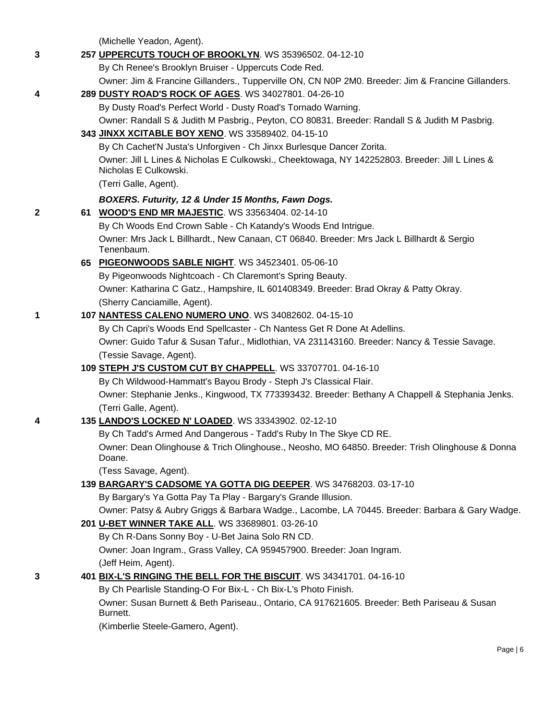(Michelle Yeadon, Agent).

|              | (MIChelle Yeadon, Agent).                                                                                                |
|--------------|--------------------------------------------------------------------------------------------------------------------------|
| 3            | 257 UPPERCUTS TOUCH OF BROOKLYN. WS 35396502. 04-12-10                                                                   |
|              | By Ch Renee's Brooklyn Bruiser - Uppercuts Code Red.                                                                     |
|              | Owner: Jim & Francine Gillanders., Tupperville ON, CN N0P 2M0. Breeder: Jim & Francine Gillanders.                       |
| 4            | 289 DUSTY ROAD'S ROCK OF AGES. WS 34027801. 04-26-10                                                                     |
|              | By Dusty Road's Perfect World - Dusty Road's Tornado Warning.                                                            |
|              | Owner: Randall S & Judith M Pasbrig., Peyton, CO 80831. Breeder: Randall S & Judith M Pasbrig.                           |
|              | 343 JINXX XCITABLE BOY XENO. WS 33589402. 04-15-10                                                                       |
|              | By Ch Cachet'N Justa's Unforgiven - Ch Jinxx Burlesque Dancer Zorita.                                                    |
|              | Owner: Jill L Lines & Nicholas E Culkowski., Cheektowaga, NY 142252803. Breeder: Jill L Lines &<br>Nicholas E Culkowski. |
|              | (Terri Galle, Agent).                                                                                                    |
|              | BOXERS. Futurity, 12 & Under 15 Months, Fawn Dogs.                                                                       |
| $\mathbf{2}$ | 61 WOOD'S END MR MAJESTIC. WS 33563404. 02-14-10                                                                         |
|              | By Ch Woods End Crown Sable - Ch Katandy's Woods End Intrigue.                                                           |
|              | Owner: Mrs Jack L Billhardt., New Canaan, CT 06840. Breeder: Mrs Jack L Billhardt & Sergio<br>Tenenbaum.                 |
|              | 65 PIGEONWOODS SABLE NIGHT. WS 34523401. 05-06-10                                                                        |
|              | By Pigeonwoods Nightcoach - Ch Claremont's Spring Beauty.                                                                |
|              | Owner: Katharina C Gatz., Hampshire, IL 601408349. Breeder: Brad Okray & Patty Okray.                                    |
|              | (Sherry Canciamille, Agent).                                                                                             |
| 1            | 107 NANTESS CALENO NUMERO UNO. WS 34082602. 04-15-10                                                                     |
|              | By Ch Capri's Woods End Spellcaster - Ch Nantess Get R Done At Adellins.                                                 |
|              | Owner: Guido Tafur & Susan Tafur., Midlothian, VA 231143160. Breeder: Nancy & Tessie Savage.                             |
|              | (Tessie Savage, Agent).                                                                                                  |
|              | 109 STEPH J'S CUSTOM CUT BY CHAPPELL. WS 33707701.04-16-10                                                               |
|              | By Ch Wildwood-Hammatt's Bayou Brody - Steph J's Classical Flair.                                                        |
|              | Owner: Stephanie Jenks., Kingwood, TX 773393432. Breeder: Bethany A Chappell & Stephania Jenks.                          |
|              | (Terri Galle, Agent).                                                                                                    |
| 4            | 135 LANDO'S LOCKED N' LOADED. WS 33343902. 02-12-10                                                                      |
|              | By Ch Tadd's Armed And Dangerous - Tadd's Ruby In The Skye CD RE.                                                        |
|              | Owner: Dean Olinghouse & Trich Olinghouse., Neosho, MO 64850. Breeder: Trish Olinghouse & Donna<br>Doane.                |
|              | (Tess Savage, Agent).                                                                                                    |
|              | 139 BARGARY'S CADSOME YA GOTTA DIG DEEPER. WS 34768203. 03-17-10                                                         |
|              | By Bargary's Ya Gotta Pay Ta Play - Bargary's Grande Illusion.                                                           |
|              | Owner: Patsy & Aubry Griggs & Barbara Wadge., Lacombe, LA 70445. Breeder: Barbara & Gary Wadge.                          |
|              | 201 U-BET WINNER TAKE ALL. WS 33689801. 03-26-10                                                                         |
|              | By Ch R-Dans Sonny Boy - U-Bet Jaina Solo RN CD.                                                                         |
|              | Owner: Joan Ingram., Grass Valley, CA 959457900. Breeder: Joan Ingram.                                                   |
|              | (Jeff Heim, Agent).                                                                                                      |
| 3            | 401 BIX-L'S RINGING THE BELL FOR THE BISCUIT. WS 34341701. 04-16-10                                                      |
|              | By Ch Pearlisle Standing-O For Bix-L - Ch Bix-L's Photo Finish.                                                          |
|              | Owner: Susan Burnett & Beth Pariseau., Ontario, CA 917621605. Breeder: Beth Pariseau & Susan<br>Burnett.                 |
|              | (Kimberlie Steele-Gamero, Agent).                                                                                        |
|              |                                                                                                                          |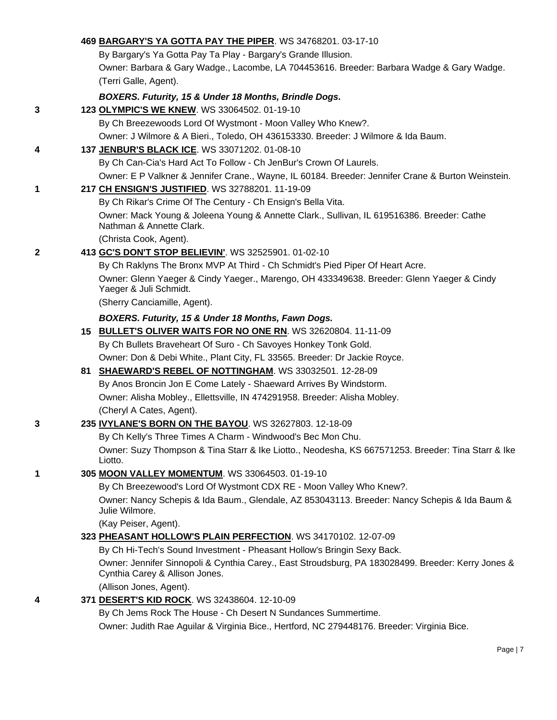|   | 469 BARGARY'S YA GOTTA PAY THE PIPER. WS 34768201. 03-17-10                                                                          |
|---|--------------------------------------------------------------------------------------------------------------------------------------|
|   | By Bargary's Ya Gotta Pay Ta Play - Bargary's Grande Illusion.                                                                       |
|   | Owner: Barbara & Gary Wadge., Lacombe, LA 704453616. Breeder: Barbara Wadge & Gary Wadge.                                            |
|   | (Terri Galle, Agent).                                                                                                                |
|   | BOXERS. Futurity, 15 & Under 18 Months, Brindle Dogs.                                                                                |
| 3 | 123 OLYMPIC'S WE KNEW. WS 33064502. 01-19-10                                                                                         |
|   | By Ch Breezewoods Lord Of Wystmont - Moon Valley Who Knew?.                                                                          |
|   | Owner: J Wilmore & A Bieri., Toledo, OH 436153330. Breeder: J Wilmore & Ida Baum.                                                    |
| 4 | 137 JENBUR'S BLACK ICE. WS 33071202. 01-08-10                                                                                        |
|   | By Ch Can-Cia's Hard Act To Follow - Ch JenBur's Crown Of Laurels.                                                                   |
|   | Owner: E P Valkner & Jennifer Crane., Wayne, IL 60184. Breeder: Jennifer Crane & Burton Weinstein.                                   |
| 1 | 217 CH ENSIGN'S JUSTIFIED. WS 32788201. 11-19-09                                                                                     |
|   | By Ch Rikar's Crime Of The Century - Ch Ensign's Bella Vita.                                                                         |
|   | Owner: Mack Young & Joleena Young & Annette Clark., Sullivan, IL 619516386. Breeder: Cathe<br>Nathman & Annette Clark.               |
|   | (Christa Cook, Agent).                                                                                                               |
| 2 | 413 GC'S DON'T STOP BELIEVIN'. WS 32525901. 01-02-10                                                                                 |
|   | By Ch Raklyns The Bronx MVP At Third - Ch Schmidt's Pied Piper Of Heart Acre.                                                        |
|   | Owner: Glenn Yaeger & Cindy Yaeger., Marengo, OH 433349638. Breeder: Glenn Yaeger & Cindy<br>Yaeger & Juli Schmidt.                  |
|   | (Sherry Canciamille, Agent).                                                                                                         |
|   | BOXERS. Futurity, 15 & Under 18 Months, Fawn Dogs.                                                                                   |
|   | 15 BULLET'S OLIVER WAITS FOR NO ONE RN. WS 32620804. 11-11-09                                                                        |
|   | By Ch Bullets Braveheart Of Suro - Ch Savoyes Honkey Tonk Gold.                                                                      |
|   | Owner: Don & Debi White., Plant City, FL 33565. Breeder: Dr Jackie Royce.                                                            |
|   | 81 SHAEWARD'S REBEL OF NOTTINGHAM. WS 33032501. 12-28-09                                                                             |
|   | By Anos Broncin Jon E Come Lately - Shaeward Arrives By Windstorm.                                                                   |
|   | Owner: Alisha Mobley., Ellettsville, IN 474291958. Breeder: Alisha Mobley.                                                           |
|   | (Cheryl A Cates, Agent).                                                                                                             |
| 3 | 235 IVYLANE'S BORN ON THE BAYOU. WS 32627803. 12-18-09                                                                               |
|   | By Ch Kelly's Three Times A Charm - Windwood's Bec Mon Chu.                                                                          |
|   | Owner: Suzy Thompson & Tina Starr & Ike Liotto., Neodesha, KS 667571253. Breeder: Tina Starr & Ike<br>Liotto.                        |
| 1 | 305 MOON VALLEY MOMENTUM. WS 33064503. 01-19-10                                                                                      |
|   | By Ch Breezewood's Lord Of Wystmont CDX RE - Moon Valley Who Knew?.                                                                  |
|   | Owner: Nancy Schepis & Ida Baum., Glendale, AZ 853043113. Breeder: Nancy Schepis & Ida Baum &<br>Julie Wilmore.                      |
|   | (Kay Peiser, Agent).                                                                                                                 |
|   | 323 PHEASANT HOLLOW'S PLAIN PERFECTION. WS 34170102. 12-07-09                                                                        |
|   | By Ch Hi-Tech's Sound Investment - Pheasant Hollow's Bringin Sexy Back.                                                              |
|   | Owner: Jennifer Sinnopoli & Cynthia Carey., East Stroudsburg, PA 183028499. Breeder: Kerry Jones &<br>Cynthia Carey & Allison Jones. |
|   | (Allison Jones, Agent).                                                                                                              |
| 4 | 371 DESERT'S KID ROCK. WS 32438604. 12-10-09                                                                                         |
|   | By Ch Jems Rock The House - Ch Desert N Sundances Summertime.                                                                        |
|   | Owner: Judith Rae Aguilar & Virginia Bice., Hertford, NC 279448176. Breeder: Virginia Bice.                                          |
|   |                                                                                                                                      |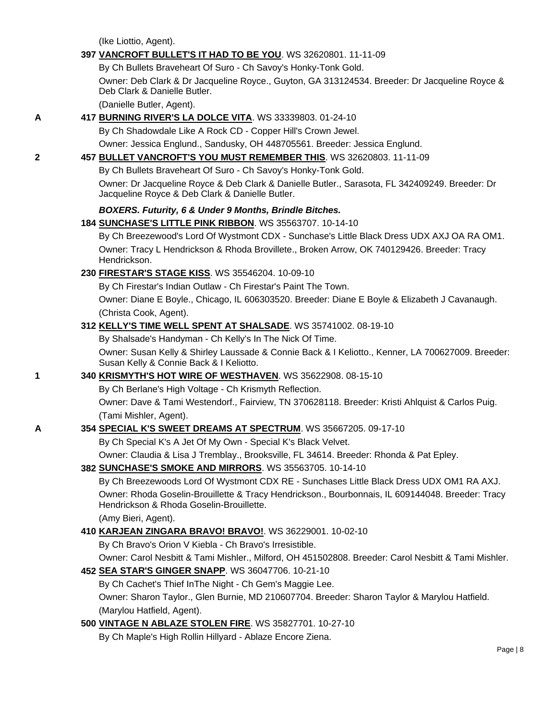(Ike Liottio, Agent).

## **397 [VANCROFT BULLET'S IT HAD TO BE YOU](http://canis.infodog.com/files/bdogrsl1.prg;makc=WS_32620801;mdog=Vancroft_Bullet_s_It_Had_To_Be_You;wins=all)**. WS 32620801. 11-11-09

By Ch Bullets Braveheart Of Suro - Ch Savoy's Honky-Tonk Gold.

Owner: Deb Clark & Dr Jacqueline Royce., Guyton, GA 313124534. Breeder: Dr Jacqueline Royce & Deb Clark & Danielle Butler.

(Danielle Butler, Agent).

### **A 417 [BURNING RIVER'S LA DOLCE VITA](http://canis.infodog.com/files/bdogrsl1.prg;makc=WS_33339803;mdog=Burning_River_s_La_Dolce_Vita;wins=all)**. WS 33339803. 01-24-10

By Ch Shadowdale Like A Rock CD - Copper Hill's Crown Jewel.

Owner: Jessica Englund., Sandusky, OH 448705561. Breeder: Jessica Englund.

### **2 457 [BULLET VANCROFT'S YOU MUST REMEMBER THIS](http://canis.infodog.com/files/bdogrsl1.prg;makc=WS_32620803;mdog=Bullet_Vancroft_s_You_Must_Remember_This;wins=all)**. WS 32620803. 11-11-09

By Ch Bullets Braveheart Of Suro - Ch Savoy's Honky-Tonk Gold. Owner: Dr Jacqueline Royce & Deb Clark & Danielle Butler., Sarasota, FL 342409249. Breeder: Dr Jacqueline Royce & Deb Clark & Danielle Butler.

## *BOXERS. Futurity, 6 & Under 9 Months, Brindle Bitches.*

**184 [SUNCHASE'S LITTLE PINK RIBBON](http://canis.infodog.com/files/bdogrsl1.prg;makc=WS_35563707;mdog=Sunchase_s_Little_Pink_Ribbon;wins=all)**. WS 35563707. 10-14-10

By Ch Breezewood's Lord Of Wystmont CDX - Sunchase's Little Black Dress UDX AXJ OA RA OM1. Owner: Tracy L Hendrickson & Rhoda Brovillete., Broken Arrow, OK 740129426. Breeder: Tracy Hendrickson.

## **230 [FIRESTAR'S STAGE KISS](http://canis.infodog.com/files/bdogrsl1.prg;makc=WS_35546204;mdog=Firestar_s_Stage_Kiss;wins=all)**. WS 35546204. 10-09-10

By Ch Firestar's Indian Outlaw - Ch Firestar's Paint The Town.

Owner: Diane E Boyle., Chicago, IL 606303520. Breeder: Diane E Boyle & Elizabeth J Cavanaugh. (Christa Cook, Agent).

### **312 [KELLY'S TIME WELL SPENT AT SHALSADE](http://canis.infodog.com/files/bdogrsl1.prg;makc=WS_35741002;mdog=Kelly_s_Time_Well_Spent_At_Shalsade;wins=all)**. WS 35741002. 08-19-10

By Shalsade's Handyman - Ch Kelly's In The Nick Of Time.

Owner: Susan Kelly & Shirley Laussade & Connie Back & I Keliotto., Kenner, LA 700627009. Breeder: Susan Kelly & Connie Back & I Keliotto.

### **1 340 [KRISMYTH'S HOT WIRE OF WESTHAVEN](http://canis.infodog.com/files/bdogrsl1.prg;makc=WS_35622908;mdog=Krismyth_s_Hot_Wire_Of_Westhaven;wins=all)**. WS 35622908. 08-15-10

By Ch Berlane's High Voltage - Ch Krismyth Reflection.

Owner: Dave & Tami Westendorf., Fairview, TN 370628118. Breeder: Kristi Ahlquist & Carlos Puig. (Tami Mishler, Agent).

### **A 354 [SPECIAL K'S SWEET DREAMS AT SPECTRUM](http://canis.infodog.com/files/bdogrsl1.prg;makc=WS_35667205;mdog=Special_K_s_Sweet_Dreams_At_Spectrum;wins=all)**. WS 35667205. 09-17-10

By Ch Special K's A Jet Of My Own - Special K's Black Velvet.

Owner: Claudia & Lisa J Tremblay., Brooksville, FL 34614. Breeder: Rhonda & Pat Epley.

### **382 [SUNCHASE'S SMOKE AND MIRRORS](http://canis.infodog.com/files/bdogrsl1.prg;makc=WS_35563705;mdog=Sunchase_s_Smoke_And_Mirrors;wins=all)**. WS 35563705. 10-14-10

By Ch Breezewoods Lord Of Wystmont CDX RE - Sunchases Little Black Dress UDX OM1 RA AXJ. Owner: Rhoda Goselin-Brouillette & Tracy Hendrickson., Bourbonnais, IL 609144048. Breeder: Tracy Hendrickson & Rhoda Goselin-Brouillette.

(Amy Bieri, Agent).

### **410 [KARJEAN ZINGARA BRAVO! BRAVO!](http://canis.infodog.com/files/bdogrsl1.prg;makc=WS_36229001;mdog=Karjean_Zingara_Bravo!_Bravo!;wins=all)**. WS 36229001. 10-02-10

By Ch Bravo's Orion V Kiebla - Ch Bravo's Irresistible.

Owner: Carol Nesbitt & Tami Mishler., Milford, OH 451502808. Breeder: Carol Nesbitt & Tami Mishler.

# **452 [SEA STAR'S GINGER SNAPP](http://canis.infodog.com/files/bdogrsl1.prg;makc=WS_36047706;mdog=Sea_Star_s_Ginger_Snapp;wins=all)**. WS 36047706. 10-21-10

By Ch Cachet's Thief InThe Night - Ch Gem's Maggie Lee.

Owner: Sharon Taylor., Glen Burnie, MD 210607704. Breeder: Sharon Taylor & Marylou Hatfield. (Marylou Hatfield, Agent).

**500 [VINTAGE N ABLAZE STOLEN FIRE](http://canis.infodog.com/files/bdogrsl1.prg;makc=WS_35827701;mdog=Vintage_N_Ablaze_Stolen_Fire;wins=all)**. WS 35827701. 10-27-10

By Ch Maple's High Rollin Hillyard - Ablaze Encore Ziena.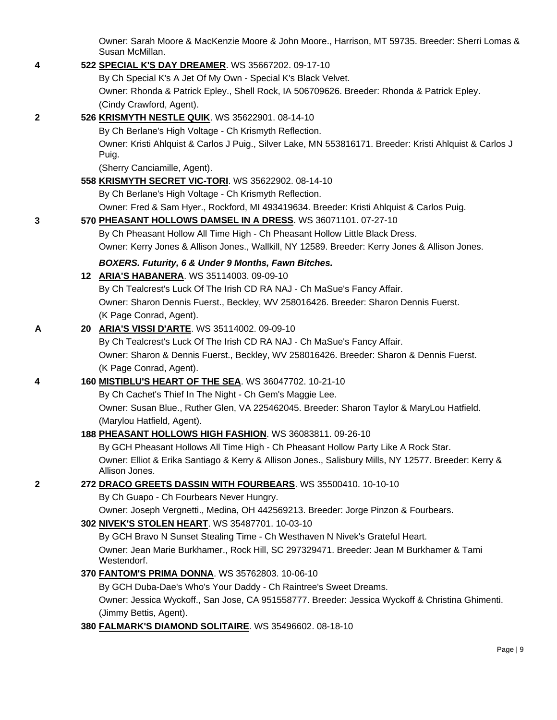Owner: Sarah Moore & MacKenzie Moore & John Moore., Harrison, MT 59735. Breeder: Sherri Lomas & Susan McMillan.

# **4 522 [SPECIAL K'S DAY DREAMER](http://canis.infodog.com/files/bdogrsl1.prg;makc=WS_35667202;mdog=Special_K_s_Day_Dreamer;wins=all)**. WS 35667202. 09-17-10

By Ch Special K's A Jet Of My Own - Special K's Black Velvet.

Owner: Rhonda & Patrick Epley., Shell Rock, IA 506709626. Breeder: Rhonda & Patrick Epley. (Cindy Crawford, Agent).

# **2 526 [KRISMYTH NESTLE QUIK](http://canis.infodog.com/files/bdogrsl1.prg;makc=WS_35622901;mdog=Krismyth_Nestle_Quik;wins=all)**. WS 35622901. 08-14-10

By Ch Berlane's High Voltage - Ch Krismyth Reflection.

Owner: Kristi Ahlquist & Carlos J Puig., Silver Lake, MN 553816171. Breeder: Kristi Ahlquist & Carlos J Puig.

(Sherry Canciamille, Agent).

# **558 [KRISMYTH SECRET VIC-TORI](http://canis.infodog.com/files/bdogrsl1.prg;makc=WS_35622902;mdog=Krismyth_Secret_Vic-Tori;wins=all)**. WS 35622902. 08-14-10

By Ch Berlane's High Voltage - Ch Krismyth Reflection.

Owner: Fred & Sam Hyer., Rockford, MI 493419634. Breeder: Kristi Ahlquist & Carlos Puig.

# **3 570 [PHEASANT HOLLOWS DAMSEL IN A DRESS](http://canis.infodog.com/files/bdogrsl1.prg;makc=WS_36071101;mdog=Pheasant_Hollows_Damsel_In_A_Dress;wins=all)**. WS 36071101. 07-27-10

By Ch Pheasant Hollow All Time High - Ch Pheasant Hollow Little Black Dress.

Owner: Kerry Jones & Allison Jones., Wallkill, NY 12589. Breeder: Kerry Jones & Allison Jones.

## *BOXERS. Futurity, 6 & Under 9 Months, Fawn Bitches.*

## **12 [ARIA'S HABANERA](http://canis.infodog.com/files/bdogrsl1.prg;makc=WS_35114003;mdog=Aria_s_Habanera;wins=all)**. WS 35114003. 09-09-10

By Ch Tealcrest's Luck Of The Irish CD RA NAJ - Ch MaSue's Fancy Affair. Owner: Sharon Dennis Fuerst., Beckley, WV 258016426. Breeder: Sharon Dennis Fuerst. (K Page Conrad, Agent).

# **A 20 [ARIA'S VISSI D'ARTE](http://canis.infodog.com/files/bdogrsl1.prg;makc=WS_35114002;mdog=Aria_s_Vissi_D_Arte;wins=all)**. WS 35114002. 09-09-10

By Ch Tealcrest's Luck Of The Irish CD RA NAJ - Ch MaSue's Fancy Affair. Owner: Sharon & Dennis Fuerst., Beckley, WV 258016426. Breeder: Sharon & Dennis Fuerst. (K Page Conrad, Agent).

# **4 160 [MISTIBLU'S HEART OF THE SEA](http://canis.infodog.com/files/bdogrsl1.prg;makc=WS_36047702;mdog=Mistiblu_s_Heart_Of_The_Sea;wins=all)**. WS 36047702. 10-21-10

By Ch Cachet's Thief In The Night - Ch Gem's Maggie Lee. Owner: Susan Blue., Ruther Glen, VA 225462045. Breeder: Sharon Taylor & MaryLou Hatfield. (Marylou Hatfield, Agent).

### **188 [PHEASANT HOLLOWS HIGH FASHION](http://canis.infodog.com/files/bdogrsl1.prg;makc=WS_36083811;mdog=Pheasant_Hollows_High_Fashion;wins=all)**. WS 36083811. 09-26-10

By GCH Pheasant Hollows All Time High - Ch Pheasant Hollow Party Like A Rock Star. Owner: Elliot & Erika Santiago & Kerry & Allison Jones., Salisbury Mills, NY 12577. Breeder: Kerry & Allison Jones.

### **2 272 [DRACO GREETS DASSIN WITH FOURBEARS](http://canis.infodog.com/files/bdogrsl1.prg;makc=WS_35500410;mdog=Draco_Greets_Dassin_With_Fourbears;wins=all)**. WS 35500410. 10-10-10

By Ch Guapo - Ch Fourbears Never Hungry.

Owner: Joseph Vergnetti., Medina, OH 442569213. Breeder: Jorge Pinzon & Fourbears.

### **302 [NIVEK'S STOLEN HEART](http://canis.infodog.com/files/bdogrsl1.prg;makc=WS_35487701;mdog=Nivek_s_Stolen_Heart;wins=all)**. WS 35487701. 10-03-10

By GCH Bravo N Sunset Stealing Time - Ch Westhaven N Nivek's Grateful Heart.

Owner: Jean Marie Burkhamer., Rock Hill, SC 297329471. Breeder: Jean M Burkhamer & Tami Westendorf.

# **370 [FANTOM'S PRIMA DONNA](http://canis.infodog.com/files/bdogrsl1.prg;makc=WS_35762803;mdog=Fantom_s_Prima_Donna;wins=all)**. WS 35762803. 10-06-10

By GCH Duba-Dae's Who's Your Daddy - Ch Raintree's Sweet Dreams.

Owner: Jessica Wyckoff., San Jose, CA 951558777. Breeder: Jessica Wyckoff & Christina Ghimenti. (Jimmy Bettis, Agent).

### **380 [FALMARK'S DIAMOND SOLITAIRE](http://canis.infodog.com/files/bdogrsl1.prg;makc=WS_35496602;mdog=Falmark_s_Diamond_Solitaire;wins=all)**. WS 35496602. 08-18-10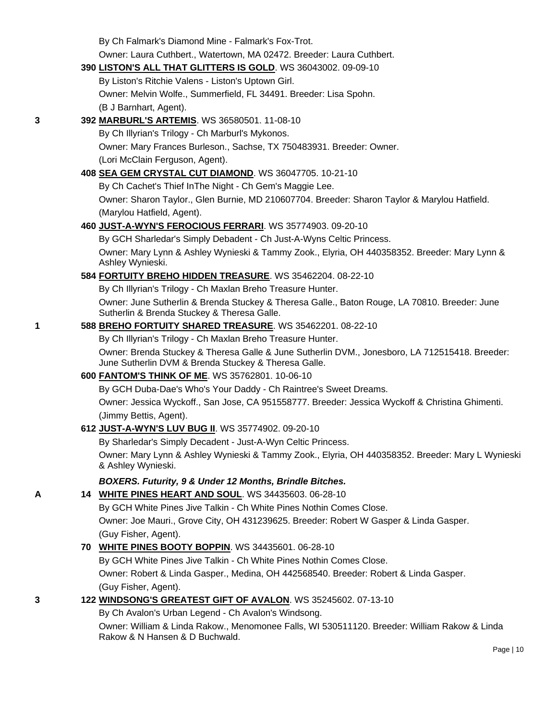By Ch Falmark's Diamond Mine - Falmark's Fox-Trot. Owner: Laura Cuthbert., Watertown, MA 02472. Breeder: Laura Cuthbert. **390 [LISTON'S ALL THAT GLITTERS IS GOLD](http://canis.infodog.com/files/bdogrsl1.prg;makc=WS_36043002;mdog=Liston_s_All_That_Glitters_Is_Gold;wins=all)**. WS 36043002. 09-09-10 By Liston's Ritchie Valens - Liston's Uptown Girl. Owner: Melvin Wolfe., Summerfield, FL 34491. Breeder: Lisa Spohn. (B J Barnhart, Agent). **3 392 [MARBURL'S ARTEMIS](http://canis.infodog.com/files/bdogrsl1.prg;makc=WS_36580501;mdog=Marburl_s_Artemis;wins=all)**. WS 36580501. 11-08-10 By Ch Illyrian's Trilogy - Ch Marburl's Mykonos. Owner: Mary Frances Burleson., Sachse, TX 750483931. Breeder: Owner. (Lori McClain Ferguson, Agent). **408 [SEA GEM CRYSTAL CUT DIAMOND](http://canis.infodog.com/files/bdogrsl1.prg;makc=WS_36047705;mdog=Sea_Gem_Crystal_Cut_Diamond;wins=all)**. WS 36047705. 10-21-10 By Ch Cachet's Thief InThe Night - Ch Gem's Maggie Lee. Owner: Sharon Taylor., Glen Burnie, MD 210607704. Breeder: Sharon Taylor & Marylou Hatfield. (Marylou Hatfield, Agent). **460 [JUST-A-WYN'S FEROCIOUS FERRARI](http://canis.infodog.com/files/bdogrsl1.prg;makc=WS_35774903;mdog=Just-A-Wyn_s_Ferocious_Ferrari;wins=all)**. WS 35774903. 09-20-10 By GCH Sharledar's Simply Debadent - Ch Just-A-Wyns Celtic Princess. Owner: Mary Lynn & Ashley Wynieski & Tammy Zook., Elyria, OH 440358352. Breeder: Mary Lynn & Ashley Wynieski. **584 [FORTUITY BREHO HIDDEN TREASURE](http://canis.infodog.com/files/bdogrsl1.prg;makc=WS_35462204;mdog=Fortuity_Breho_Hidden_Treasure;wins=all)**. WS 35462204. 08-22-10 By Ch Illyrian's Trilogy - Ch Maxlan Breho Treasure Hunter. Owner: June Sutherlin & Brenda Stuckey & Theresa Galle., Baton Rouge, LA 70810. Breeder: June Sutherlin & Brenda Stuckey & Theresa Galle. **1 588 [BREHO FORTUITY SHARED TREASURE](http://canis.infodog.com/files/bdogrsl1.prg;makc=WS_35462201;mdog=Breho_Fortuity_Shared_Treasure;wins=all)**. WS 35462201. 08-22-10 By Ch Illyrian's Trilogy - Ch Maxlan Breho Treasure Hunter. Owner: Brenda Stuckey & Theresa Galle & June Sutherlin DVM., Jonesboro, LA 712515418. Breeder: June Sutherlin DVM & Brenda Stuckey & Theresa Galle. **600 [FANTOM'S THINK OF ME](http://canis.infodog.com/files/bdogrsl1.prg;makc=WS_35762801;mdog=Fantom_s_Think_Of_Me;wins=all)**. WS 35762801. 10-06-10 By GCH Duba-Dae's Who's Your Daddy - Ch Raintree's Sweet Dreams. Owner: Jessica Wyckoff., San Jose, CA 951558777. Breeder: Jessica Wyckoff & Christina Ghimenti. (Jimmy Bettis, Agent). **612 [JUST-A-WYN'S LUV BUG II](http://canis.infodog.com/files/bdogrsl1.prg;makc=WS_35774902;mdog=Just-A-Wyn_s_Luv_Bug_II;wins=all)**. WS 35774902. 09-20-10 By Sharledar's Simply Decadent - Just-A-Wyn Celtic Princess. Owner: Mary Lynn & Ashley Wynieski & Tammy Zook., Elyria, OH 440358352. Breeder: Mary L Wynieski & Ashley Wynieski. *BOXERS. Futurity, 9 & Under 12 Months, Brindle Bitches.* **A 14 [WHITE PINES HEART AND SOUL](http://canis.infodog.com/files/bdogrsl1.prg;makc=WS_34435603;mdog=White_Pines_Heart_And_Soul;wins=all)**. WS 34435603. 06-28-10 By GCH White Pines Jive Talkin - Ch White Pines Nothin Comes Close. Owner: Joe Mauri., Grove City, OH 431239625. Breeder: Robert W Gasper & Linda Gasper. (Guy Fisher, Agent). **70 [WHITE PINES BOOTY BOPPIN](http://canis.infodog.com/files/bdogrsl1.prg;makc=WS_34435601;mdog=White_Pines_Booty_Boppin;wins=all)**. WS 34435601. 06-28-10 By GCH White Pines Jive Talkin - Ch White Pines Nothin Comes Close. Owner: Robert & Linda Gasper., Medina, OH 442568540. Breeder: Robert & Linda Gasper. (Guy Fisher, Agent). **3 122 [WINDSONG'S GREATEST GIFT OF AVALON](http://canis.infodog.com/files/bdogrsl1.prg;makc=WS_35245602;mdog=Windsong_s_Greatest_Gift_Of_Avalon;wins=all)**. WS 35245602. 07-13-10 By Ch Avalon's Urban Legend - Ch Avalon's Windsong. Owner: William & Linda Rakow., Menomonee Falls, WI 530511120. Breeder: William Rakow & Linda Rakow & N Hansen & D Buchwald.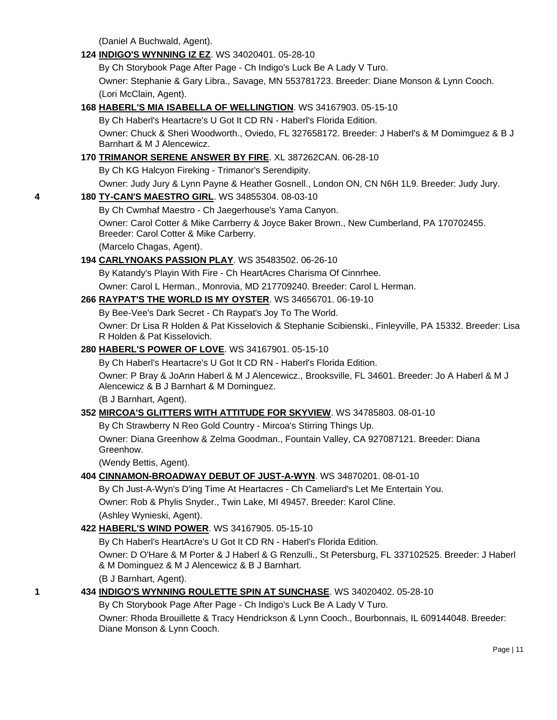(Daniel A Buchwald, Agent).

## **124 [INDIGO'S WYNNING IZ EZ](http://canis.infodog.com/files/bdogrsl1.prg;makc=WS_34020401;mdog=Indigo_s_Wynning_Iz_Ez;wins=all)**. WS 34020401. 05-28-10

By Ch Storybook Page After Page - Ch Indigo's Luck Be A Lady V Turo. Owner: Stephanie & Gary Libra., Savage, MN 553781723. Breeder: Diane Monson & Lynn Cooch. (Lori McClain, Agent).

## **168 [HABERL'S MIA ISABELLA OF WELLINGTION](http://canis.infodog.com/files/bdogrsl1.prg;makc=WS_34167903;mdog=Haberl_s_Mia_Isabella_Of_Wellingtion;wins=all)**. WS 34167903. 05-15-10

By Ch Haberl's Heartacre's U Got It CD RN - Haberl's Florida Edition.

Owner: Chuck & Sheri Woodworth., Oviedo, FL 327658172. Breeder: J Haberl's & M Domimguez & B J Barnhart & M J Alencewicz.

## **170 [TRIMANOR SERENE ANSWER BY FIRE](http://canis.infodog.com/files/bdogrsl1.prg;makc=XL_387262CAN;mdog=Trimanor_Serene_Answer_By_Fire;wins=all)**. XL 387262CAN. 06-28-10

By Ch KG Halcyon Fireking - Trimanor's Serendipity.

Owner: Judy Jury & Lynn Payne & Heather Gosnell., London ON, CN N6H 1L9. Breeder: Judy Jury.

## **4 180 [TY-CAN'S MAESTRO GIRL](http://canis.infodog.com/files/bdogrsl1.prg;makc=WS_34855304;mdog=Ty-Can_s_Maestro_Girl;wins=all)**. WS 34855304. 08-03-10

By Ch Cwmhaf Maestro - Ch Jaegerhouse's Yama Canyon.

Owner: Carol Cotter & Mike Carrberry & Joyce Baker Brown., New Cumberland, PA 170702455. Breeder: Carol Cotter & Mike Carberry.

(Marcelo Chagas, Agent).

# **194 [CARLYNOAKS PASSION PLAY](http://canis.infodog.com/files/bdogrsl1.prg;makc=WS_35483502;mdog=CarlynOaks_Passion_Play;wins=all)**. WS 35483502. 06-26-10

By Katandy's Playin With Fire - Ch HeartAcres Charisma Of Cinnrhee.

Owner: Carol L Herman., Monrovia, MD 217709240. Breeder: Carol L Herman.

### **266 [RAYPAT'S THE WORLD IS MY OYSTER](http://canis.infodog.com/files/bdogrsl1.prg;makc=WS_34656701;mdog=Raypat_s_The_World_Is_My_Oyster;wins=all)**. WS 34656701. 06-19-10

By Bee-Vee's Dark Secret - Ch Raypat's Joy To The World.

Owner: Dr Lisa R Holden & Pat Kisselovich & Stephanie Scibienski., Finleyville, PA 15332. Breeder: Lisa R Holden & Pat Kisselovich.

# **280 [HABERL'S POWER OF LOVE](http://canis.infodog.com/files/bdogrsl1.prg;makc=WS_34167901;mdog=Haberl_s_Power_Of_Love;wins=all)**. WS 34167901. 05-15-10

By Ch Haberl's Heartacre's U Got It CD RN - Haberl's Florida Edition.

Owner: P Bray & JoAnn Haberl & M J Alencewicz., Brooksville, FL 34601. Breeder: Jo A Haberl & M J Alencewicz & B J Barnhart & M Dominguez.

(B J Barnhart, Agent).

### **352 [MIRCOA'S GLITTERS WITH ATTITUDE FOR SKYVIEW](http://canis.infodog.com/files/bdogrsl1.prg;makc=WS_34785803;mdog=Mircoa_s_Glitters_With_Attitude_For_Skyview;wins=all)**. WS 34785803. 08-01-10

By Ch Strawberry N Reo Gold Country - Mircoa's Stirring Things Up.

Owner: Diana Greenhow & Zelma Goodman., Fountain Valley, CA 927087121. Breeder: Diana Greenhow.

(Wendy Bettis, Agent).

### **404 [CINNAMON-BROADWAY DEBUT OF JUST-A-WYN](http://canis.infodog.com/files/bdogrsl1.prg;makc=WS_34870201;mdog=Cinnamon-Broadway_Debut_Of_Just-A-Wyn;wins=all)**. WS 34870201. 08-01-10

By Ch Just-A-Wyn's D'ing Time At Heartacres - Ch Cameliard's Let Me Entertain You. Owner: Rob & Phylis Snyder., Twin Lake, MI 49457. Breeder: Karol Cline. (Ashley Wynieski, Agent).

**422 [HABERL'S WIND POWER](http://canis.infodog.com/files/bdogrsl1.prg;makc=WS_34167905;mdog=Haberl_s_Wind_Power;wins=all)**. WS 34167905. 05-15-10

By Ch Haberl's HeartAcre's U Got It CD RN - Haberl's Florida Edition.

Owner: D O'Hare & M Porter & J Haberl & G Renzulli., St Petersburg, FL 337102525. Breeder: J Haberl & M Dominguez & M J Alencewicz & B J Barnhart.

(B J Barnhart, Agent).

### **1 434 [INDIGO'S WYNNING ROULETTE SPIN AT SUNCHASE](http://canis.infodog.com/files/bdogrsl1.prg;makc=WS_34020402;mdog=Indigo_s_Wynning_Roulette_Spin_At_Sunchase;wins=all)**. WS 34020402. 05-28-10

By Ch Storybook Page After Page - Ch Indigo's Luck Be A Lady V Turo.

Owner: Rhoda Brouillette & Tracy Hendrickson & Lynn Cooch., Bourbonnais, IL 609144048. Breeder: Diane Monson & Lynn Cooch.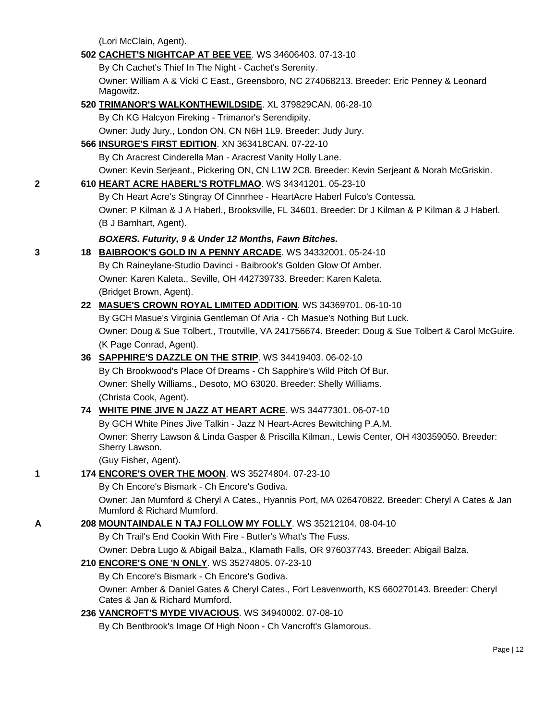(Lori McClain, Agent).

|   | 502 CACHET'S NIGHTCAP AT BEE VEE. WS 34606403. 07-13-10                                                                        |
|---|--------------------------------------------------------------------------------------------------------------------------------|
|   | By Ch Cachet's Thief In The Night - Cachet's Serenity.                                                                         |
|   | Owner: William A & Vicki C East., Greensboro, NC 274068213. Breeder: Eric Penney & Leonard<br>Magowitz.                        |
|   | 520 TRIMANOR'S WALKONTHEWILDSIDE. XL 379829CAN. 06-28-10                                                                       |
|   | By Ch KG Halcyon Fireking - Trimanor's Serendipity.                                                                            |
|   | Owner: Judy Jury., London ON, CN N6H 1L9. Breeder: Judy Jury.                                                                  |
|   | 566 INSURGE'S FIRST EDITION. XN 363418CAN. 07-22-10                                                                            |
|   | By Ch Aracrest Cinderella Man - Aracrest Vanity Holly Lane.                                                                    |
|   | Owner: Kevin Serjeant., Pickering ON, CN L1W 2C8. Breeder: Kevin Serjeant & Norah McGriskin.                                   |
| 2 | 610 HEART ACRE HABERL'S ROTFLMAO. WS 34341201. 05-23-10                                                                        |
|   | By Ch Heart Acre's Stingray Of Cinnrhee - HeartAcre Haberl Fulco's Contessa.                                                   |
|   | Owner: P Kilman & J A Haberl., Brooksville, FL 34601. Breeder: Dr J Kilman & P Kilman & J Haberl.                              |
|   | (B J Barnhart, Agent).                                                                                                         |
|   | BOXERS. Futurity, 9 & Under 12 Months, Fawn Bitches.                                                                           |
| 3 | 18 BAIBROOK'S GOLD IN A PENNY ARCADE. WS 34332001. 05-24-10                                                                    |
|   | By Ch Raineylane-Studio Davinci - Baibrook's Golden Glow Of Amber.                                                             |
|   | Owner: Karen Kaleta., Seville, OH 442739733. Breeder: Karen Kaleta.                                                            |
|   | (Bridget Brown, Agent).                                                                                                        |
|   | 22 MASUE'S CROWN ROYAL LIMITED ADDITION. WS 34369701. 06-10-10                                                                 |
|   | By GCH Masue's Virginia Gentleman Of Aria - Ch Masue's Nothing But Luck.                                                       |
|   | Owner: Doug & Sue Tolbert., Troutville, VA 241756674. Breeder: Doug & Sue Tolbert & Carol McGuire.                             |
|   | (K Page Conrad, Agent).                                                                                                        |
|   | 36 SAPPHIRE'S DAZZLE ON THE STRIP. WS 34419403. 06-02-10                                                                       |
|   | By Ch Brookwood's Place Of Dreams - Ch Sapphire's Wild Pitch Of Bur.                                                           |
|   | Owner: Shelly Williams., Desoto, MO 63020. Breeder: Shelly Williams.                                                           |
|   | (Christa Cook, Agent).                                                                                                         |
|   | 74 WHITE PINE JIVE N JAZZ AT HEART ACRE. WS 34477301. 06-07-10                                                                 |
|   | By GCH White Pines Jive Talkin - Jazz N Heart-Acres Bewitching P.A.M.                                                          |
|   | Owner: Sherry Lawson & Linda Gasper & Priscilla Kilman., Lewis Center, OH 430359050. Breeder:<br>Sherry Lawson.                |
|   | (Guy Fisher, Agent).                                                                                                           |
| 1 | 174 ENCORE'S OVER THE MOON. WS 35274804. 07-23-10                                                                              |
|   | By Ch Encore's Bismark - Ch Encore's Godiva.                                                                                   |
|   | Owner: Jan Mumford & Cheryl A Cates., Hyannis Port, MA 026470822. Breeder: Cheryl A Cates & Jan<br>Mumford & Richard Mumford.  |
| А | 208 MOUNTAINDALE N TAJ FOLLOW MY FOLLY. WS 35212104.08-04-10                                                                   |
|   | By Ch Trail's End Cookin With Fire - Butler's What's The Fuss.                                                                 |
|   | Owner: Debra Lugo & Abigail Balza., Klamath Falls, OR 976037743. Breeder: Abigail Balza.                                       |
|   | 210 ENCORE'S ONE 'N ONLY. WS 35274805. 07-23-10                                                                                |
|   | By Ch Encore's Bismark - Ch Encore's Godiva.                                                                                   |
|   | Owner: Amber & Daniel Gates & Cheryl Cates., Fort Leavenworth, KS 660270143. Breeder: Cheryl<br>Cates & Jan & Richard Mumford. |
|   | 236 VANCROFT'S MYDE VIVACIOUS. WS 34940002. 07-08-10                                                                           |
|   | By Ch Bentbrook's Image Of High Noon - Ch Vancroft's Glamorous.                                                                |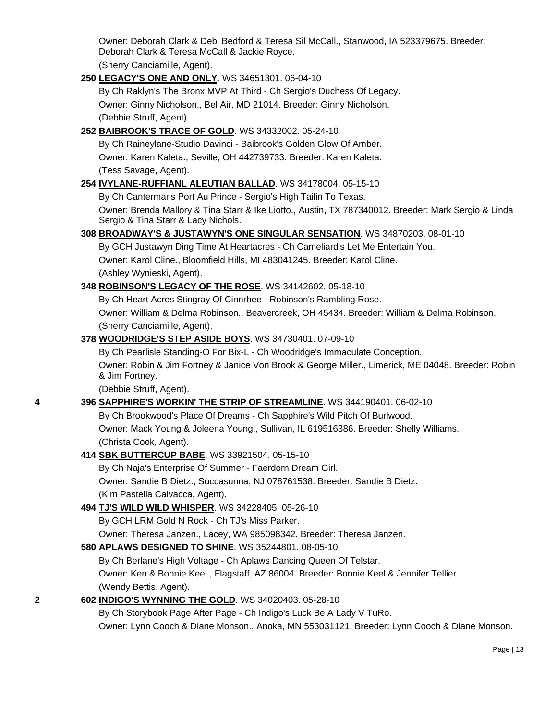Owner: Deborah Clark & Debi Bedford & Teresa Sil McCall., Stanwood, IA 523379675. Breeder: Deborah Clark & Teresa McCall & Jackie Royce.

(Sherry Canciamille, Agent).

## **250 [LEGACY'S ONE AND ONLY](http://canis.infodog.com/files/bdogrsl1.prg;makc=WS_34651301;mdog=Legacy_s_One_And_Only;wins=all)**. WS 34651301. 06-04-10

By Ch Raklyn's The Bronx MVP At Third - Ch Sergio's Duchess Of Legacy. Owner: Ginny Nicholson., Bel Air, MD 21014. Breeder: Ginny Nicholson. (Debbie Struff, Agent).

**252 [BAIBROOK'S TRACE OF GOLD](http://canis.infodog.com/files/bdogrsl1.prg;makc=WS_34332002;mdog=Baibrook_s_Trace_Of_Gold;wins=all)**. WS 34332002. 05-24-10

By Ch Raineylane-Studio Davinci - Baibrook's Golden Glow Of Amber. Owner: Karen Kaleta., Seville, OH 442739733. Breeder: Karen Kaleta. (Tess Savage, Agent).

## **254 [IVYLANE-RUFFIANL ALEUTIAN BALLAD](http://canis.infodog.com/files/bdogrsl1.prg;makc=WS_34178004;mdog=Ivylane-RuffianL_Aleutian_Ballad;wins=all)**. WS 34178004. 05-15-10

By Ch Cantermar's Port Au Prince - Sergio's High Tailin To Texas.

Owner: Brenda Mallory & Tina Starr & Ike Liotto., Austin, TX 787340012. Breeder: Mark Sergio & Linda Sergio & Tina Starr & Lacy Nichols.

## **308 [BROADWAY'S & JUSTAWYN'S ONE SINGULAR SENSATION](http://canis.infodog.com/files/bdogrsl1.prg;makc=WS_34870203;mdog=Broadway_s_&_Justawyn_s_One_Singular_Sensation;wins=all)**. WS 34870203. 08-01-10

By GCH Justawyn Ding Time At Heartacres - Ch Cameliard's Let Me Entertain You. Owner: Karol Cline., Bloomfield Hills, MI 483041245. Breeder: Karol Cline. (Ashley Wynieski, Agent).

## **348 [ROBINSON'S LEGACY OF THE ROSE](http://canis.infodog.com/files/bdogrsl1.prg;makc=WS_34142602;mdog=Robinson_s_Legacy_Of_The_Rose;wins=all)**. WS 34142602. 05-18-10

By Ch Heart Acres Stingray Of Cinnrhee - Robinson's Rambling Rose. Owner: William & Delma Robinson., Beavercreek, OH 45434. Breeder: William & Delma Robinson. (Sherry Canciamille, Agent).

## **378 [WOODRIDGE'S STEP ASIDE BOYS](http://canis.infodog.com/files/bdogrsl1.prg;makc=WS_34730401;mdog=Woodridge_s_Step_Aside_Boys;wins=all)**. WS 34730401. 07-09-10

By Ch Pearlisle Standing-O For Bix-L - Ch Woodridge's Immaculate Conception. Owner: Robin & Jim Fortney & Janice Von Brook & George Miller., Limerick, ME 04048. Breeder: Robin & Jim Fortney.

(Debbie Struff, Agent).

### **4 396 [SAPPHIRE'S WORKIN' THE STRIP OF STREAMLINE](http://canis.infodog.com/files/bdogrsl1.prg;makc=WS_344190401;mdog=Sapphire_s_Workin__The_Strip_Of_Streamline;wins=all)**. WS 344190401. 06-02-10

By Ch Brookwood's Place Of Dreams - Ch Sapphire's Wild Pitch Of Burlwood. Owner: Mack Young & Joleena Young., Sullivan, IL 619516386. Breeder: Shelly Williams. (Christa Cook, Agent).

# **414 [SBK BUTTERCUP BABE](http://canis.infodog.com/files/bdogrsl1.prg;makc=WS_33921504;mdog=SBK_Buttercup_Babe;wins=all)**. WS 33921504. 05-15-10

By Ch Naja's Enterprise Of Summer - Faerdorn Dream Girl. Owner: Sandie B Dietz., Succasunna, NJ 078761538. Breeder: Sandie B Dietz. (Kim Pastella Calvacca, Agent).

### **494 [TJ'S WILD WILD WHISPER](http://canis.infodog.com/files/bdogrsl1.prg;makc=WS_34228405;mdog=TJ_s_Wild_Wild_Whisper;wins=all)**. WS 34228405. 05-26-10

By GCH LRM Gold N Rock - Ch TJ's Miss Parker.

Owner: Theresa Janzen., Lacey, WA 985098342. Breeder: Theresa Janzen.

# **580 [APLAWS DESIGNED TO SHINE](http://canis.infodog.com/files/bdogrsl1.prg;makc=WS_35244801;mdog=Aplaws_Designed_To_Shine;wins=all)**. WS 35244801. 08-05-10

By Ch Berlane's High Voltage - Ch Aplaws Dancing Queen Of Telstar. Owner: Ken & Bonnie Keel., Flagstaff, AZ 86004. Breeder: Bonnie Keel & Jennifer Tellier. (Wendy Bettis, Agent).

# **2 602 [INDIGO'S WYNNING THE GOLD](http://canis.infodog.com/files/bdogrsl1.prg;makc=WS_34020403;mdog=Indigo_s_Wynning_The_Gold;wins=all)**. WS 34020403. 05-28-10

By Ch Storybook Page After Page - Ch Indigo's Luck Be A Lady V TuRo. Owner: Lynn Cooch & Diane Monson., Anoka, MN 553031121. Breeder: Lynn Cooch & Diane Monson.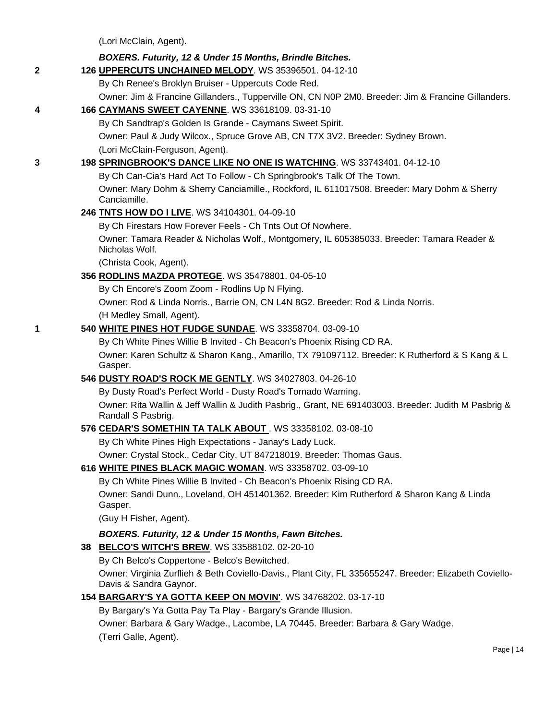(Lori McClain, Agent).

|              | BOXERS. Futurity, 12 & Under 15 Months, Brindle Bitches.                                                                          |
|--------------|-----------------------------------------------------------------------------------------------------------------------------------|
| $\mathbf{2}$ | 126 UPPERCUTS UNCHAINED MELODY. WS 35396501. 04-12-10                                                                             |
|              | By Ch Renee's Broklyn Bruiser - Uppercuts Code Red.                                                                               |
|              | Owner: Jim & Francine Gillanders., Tupperville ON, CN N0P 2M0. Breeder: Jim & Francine Gillanders.                                |
| 4            | 166 CAYMANS SWEET CAYENNE. WS 33618109. 03-31-10                                                                                  |
|              | By Ch Sandtrap's Golden Is Grande - Caymans Sweet Spirit.                                                                         |
|              | Owner: Paul & Judy Wilcox., Spruce Grove AB, CN T7X 3V2. Breeder: Sydney Brown.                                                   |
|              | (Lori McClain-Ferguson, Agent).                                                                                                   |
| 3            | 198 SPRINGBROOK'S DANCE LIKE NO ONE IS WATCHING. WS 33743401. 04-12-10                                                            |
|              | By Ch Can-Cia's Hard Act To Follow - Ch Springbrook's Talk Of The Town.                                                           |
|              | Owner: Mary Dohm & Sherry Canciamille., Rockford, IL 611017508. Breeder: Mary Dohm & Sherry<br>Canciamille.                       |
|              | 246 TNTS HOW DO I LIVE. WS 34104301. 04-09-10                                                                                     |
|              | By Ch Firestars How Forever Feels - Ch Tnts Out Of Nowhere.                                                                       |
|              | Owner: Tamara Reader & Nicholas Wolf., Montgomery, IL 605385033. Breeder: Tamara Reader &<br>Nicholas Wolf.                       |
|              | (Christa Cook, Agent).                                                                                                            |
|              | 356 RODLINS MAZDA PROTEGE. WS 35478801. 04-05-10                                                                                  |
|              | By Ch Encore's Zoom Zoom - Rodlins Up N Flying.                                                                                   |
|              | Owner: Rod & Linda Norris., Barrie ON, CN L4N 8G2. Breeder: Rod & Linda Norris.                                                   |
|              | (H Medley Small, Agent).                                                                                                          |
| 1            | 540 WHITE PINES HOT FUDGE SUNDAE. WS 33358704. 03-09-10                                                                           |
|              | By Ch White Pines Willie B Invited - Ch Beacon's Phoenix Rising CD RA.                                                            |
|              | Owner: Karen Schultz & Sharon Kang., Amarillo, TX 791097112. Breeder: K Rutherford & S Kang & L<br>Gasper.                        |
|              | 546 DUSTY ROAD'S ROCK ME GENTLY. WS 34027803. 04-26-10                                                                            |
|              | By Dusty Road's Perfect World - Dusty Road's Tornado Warning.                                                                     |
|              | Owner: Rita Wallin & Jeff Wallin & Judith Pasbrig., Grant, NE 691403003. Breeder: Judith M Pasbrig &<br>Randall S Pasbrig.        |
|              | 576 CEDAR'S SOMETHIN TA TALK ABOUT. WS 33358102. 03-08-10                                                                         |
|              | By Ch White Pines High Expectations - Janay's Lady Luck.                                                                          |
|              | Owner: Crystal Stock., Cedar City, UT 847218019. Breeder: Thomas Gaus.                                                            |
|              | 616 WHITE PINES BLACK MAGIC WOMAN. WS 33358702. 03-09-10                                                                          |
|              | By Ch White Pines Willie B Invited - Ch Beacon's Phoenix Rising CD RA.                                                            |
|              | Owner: Sandi Dunn., Loveland, OH 451401362. Breeder: Kim Rutherford & Sharon Kang & Linda<br>Gasper.                              |
|              | (Guy H Fisher, Agent).                                                                                                            |
|              | BOXERS. Futurity, 12 & Under 15 Months, Fawn Bitches.                                                                             |
|              | 38 BELCO'S WITCH'S BREW. WS 33588102. 02-20-10                                                                                    |
|              | By Ch Belco's Coppertone - Belco's Bewitched.                                                                                     |
|              | Owner: Virginia Zurflieh & Beth Coviello-Davis., Plant City, FL 335655247. Breeder: Elizabeth Coviello-<br>Davis & Sandra Gaynor. |
|              | 154 BARGARY'S YA GOTTA KEEP ON MOVIN'. WS 34768202. 03-17-10                                                                      |
|              | By Bargary's Ya Gotta Pay Ta Play - Bargary's Grande Illusion.                                                                    |
|              | Owner: Barbara & Gary Wadge., Lacombe, LA 70445. Breeder: Barbara & Gary Wadge.                                                   |
|              | (Terri Galle, Agent).                                                                                                             |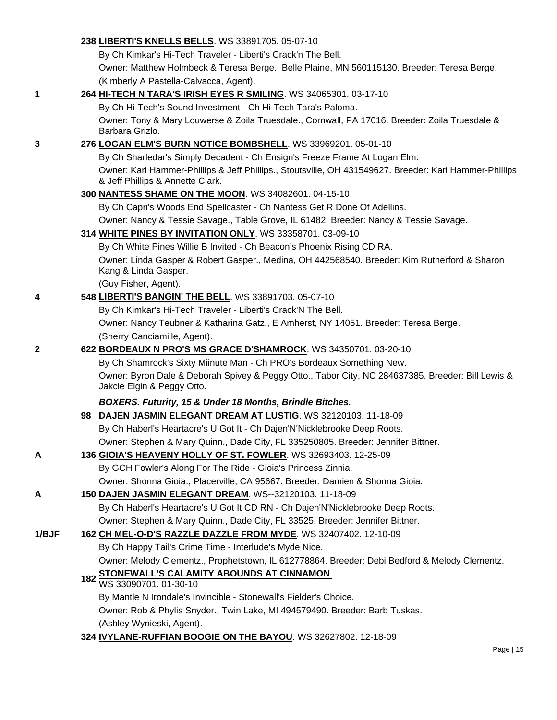|       |     | 238 LIBERTI'S KNELLS BELLS. WS 33891705. 05-07-10                                                                                          |
|-------|-----|--------------------------------------------------------------------------------------------------------------------------------------------|
|       |     | By Ch Kimkar's Hi-Tech Traveler - Liberti's Crack'n The Bell.                                                                              |
|       |     | Owner: Matthew Holmbeck & Teresa Berge., Belle Plaine, MN 560115130. Breeder: Teresa Berge.                                                |
|       |     | (Kimberly A Pastella-Calvacca, Agent).                                                                                                     |
| 1     |     | 264 HI-TECH N TARA'S IRISH EYES R SMILING. WS 34065301. 03-17-10                                                                           |
|       |     | By Ch Hi-Tech's Sound Investment - Ch Hi-Tech Tara's Paloma.                                                                               |
|       |     | Owner: Tony & Mary Louwerse & Zoila Truesdale., Cornwall, PA 17016. Breeder: Zoila Truesdale &<br>Barbara Grizlo.                          |
| 3     |     | 276 LOGAN ELM'S BURN NOTICE BOMBSHELL. WS 33969201. 05-01-10                                                                               |
|       |     | By Ch Sharledar's Simply Decadent - Ch Ensign's Freeze Frame At Logan Elm.                                                                 |
|       |     | Owner: Kari Hammer-Phillips & Jeff Phillips., Stoutsville, OH 431549627. Breeder: Kari Hammer-Phillips<br>& Jeff Phillips & Annette Clark. |
|       |     | 300 NANTESS SHAME ON THE MOON. WS 34082601. 04-15-10                                                                                       |
|       |     | By Ch Capri's Woods End Spellcaster - Ch Nantess Get R Done Of Adellins.                                                                   |
|       |     | Owner: Nancy & Tessie Savage., Table Grove, IL 61482. Breeder: Nancy & Tessie Savage.                                                      |
|       |     | 314 WHITE PINES BY INVITATION ONLY. WS 33358701. 03-09-10                                                                                  |
|       |     | By Ch White Pines Willie B Invited - Ch Beacon's Phoenix Rising CD RA.                                                                     |
|       |     | Owner: Linda Gasper & Robert Gasper., Medina, OH 442568540. Breeder: Kim Rutherford & Sharon<br>Kang & Linda Gasper.                       |
|       |     | (Guy Fisher, Agent).                                                                                                                       |
| 4     |     | 548 LIBERTI'S BANGIN' THE BELL. WS 33891703. 05-07-10                                                                                      |
|       |     | By Ch Kimkar's Hi-Tech Traveler - Liberti's Crack'N The Bell.                                                                              |
|       |     | Owner: Nancy Teubner & Katharina Gatz., E Amherst, NY 14051. Breeder: Teresa Berge.                                                        |
|       |     | (Sherry Canciamille, Agent).                                                                                                               |
| 2     |     | 622 BORDEAUX N PRO'S MS GRACE D'SHAMROCK. WS 34350701. 03-20-10                                                                            |
|       |     | By Ch Shamrock's Sixty Miinute Man - Ch PRO's Bordeaux Something New.                                                                      |
|       |     | Owner: Byron Dale & Deborah Spivey & Peggy Otto., Tabor City, NC 284637385. Breeder: Bill Lewis &<br>Jakcie Elgin & Peggy Otto.            |
|       |     | BOXERS. Futurity, 15 & Under 18 Months, Brindle Bitches.                                                                                   |
|       |     | 98 DAJEN JASMIN ELEGANT DREAM AT LUSTIG. WS 32120103. 11-18-09                                                                             |
|       |     | By Ch Haberl's Heartacre's U Got It - Ch Dajen'N'Nicklebrooke Deep Roots.                                                                  |
|       |     | Owner: Stephen & Mary Quinn., Dade City, FL 335250805. Breeder: Jennifer Bittner.                                                          |
| A     |     | 136 GIOIA'S HEAVENY HOLLY OF ST. FOWLER. WS 32693403. 12-25-09                                                                             |
|       |     | By GCH Fowler's Along For The Ride - Gioia's Princess Zinnia.                                                                              |
|       |     | Owner: Shonna Gioia., Placerville, CA 95667. Breeder: Damien & Shonna Gioia.                                                               |
| A     |     | 150 DAJEN JASMIN ELEGANT DREAM. WS--32120103. 11-18-09                                                                                     |
|       |     | By Ch Haberl's Heartacre's U Got It CD RN - Ch Dajen'N'Nicklebrooke Deep Roots.                                                            |
|       |     | Owner: Stephen & Mary Quinn., Dade City, FL 33525. Breeder: Jennifer Bittner.                                                              |
| 1/BJF |     | 162 CH MEL-O-D'S RAZZLE DAZZLE FROM MYDE. WS 32407402. 12-10-09                                                                            |
|       |     | By Ch Happy Tail's Crime Time - Interlude's Myde Nice.                                                                                     |
|       |     | Owner: Melody Clementz., Prophetstown, IL 612778864. Breeder: Debi Bedford & Melody Clementz.                                              |
|       | 182 | STONEWALL'S CALAMITY ABOUNDS AT CINNAMON.<br>WS 33090701.01-30-10                                                                          |
|       |     | By Mantle N Irondale's Invincible - Stonewall's Fielder's Choice.                                                                          |
|       |     | Owner: Rob & Phylis Snyder., Twin Lake, MI 494579490. Breeder: Barb Tuskas.                                                                |
|       |     | (Ashley Wynieski, Agent).                                                                                                                  |
|       |     |                                                                                                                                            |

**324 [IVYLANE-RUFFIAN BOOGIE ON THE BAYOU](http://canis.infodog.com/files/bdogrsl1.prg;makc=WS_32627802;mdog=Ivylane-Ruffian_Boogie_On_The_Bayou;wins=all)**. WS 32627802. 12-18-09